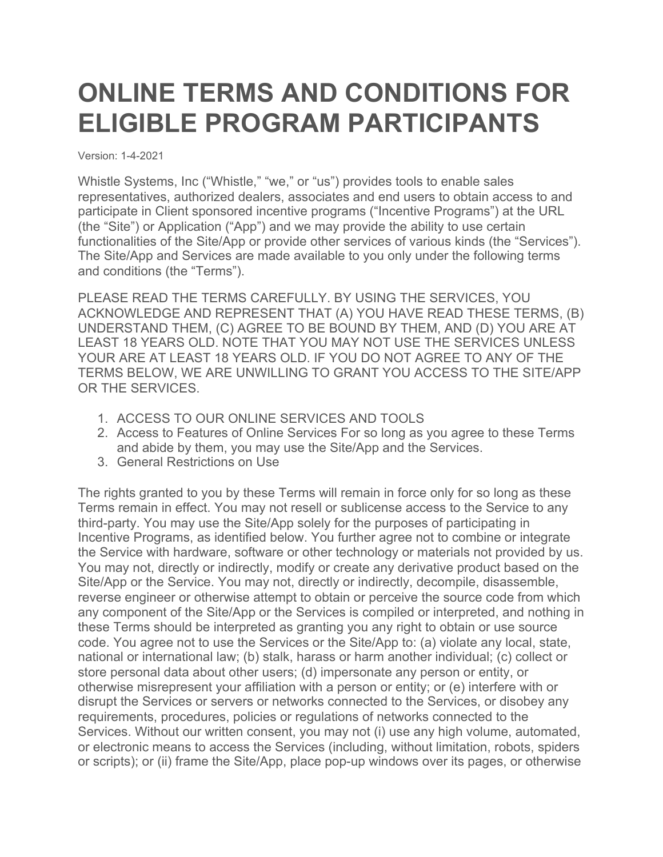## **ONLINE TERMS AND CONDITIONS FOR ELIGIBLE PROGRAM PARTICIPANTS**

Version: 1-4-2021

Whistle Systems, Inc ("Whistle," "we," or "us") provides tools to enable sales representatives, authorized dealers, associates and end users to obtain access to and participate in Client sponsored incentive programs ("Incentive Programs") at the URL (the "Site") or Application ("App") and we may provide the ability to use certain functionalities of the Site/App or provide other services of various kinds (the "Services"). The Site/App and Services are made available to you only under the following terms and conditions (the "Terms").

PLEASE READ THE TERMS CAREFULLY. BY USING THE SERVICES, YOU ACKNOWLEDGE AND REPRESENT THAT (A) YOU HAVE READ THESE TERMS, (B) UNDERSTAND THEM, (C) AGREE TO BE BOUND BY THEM, AND (D) YOU ARE AT LEAST 18 YEARS OLD. NOTE THAT YOU MAY NOT USE THE SERVICES UNLESS YOUR ARE AT LEAST 18 YEARS OLD. IF YOU DO NOT AGREE TO ANY OF THE TERMS BELOW, WE ARE UNWILLING TO GRANT YOU ACCESS TO THE SITE/APP OR THE SERVICES.

- 1. ACCESS TO OUR ONLINE SERVICES AND TOOLS
- 2. Access to Features of Online Services For so long as you agree to these Terms and abide by them, you may use the Site/App and the Services.
- 3. General Restrictions on Use

The rights granted to you by these Terms will remain in force only for so long as these Terms remain in effect. You may not resell or sublicense access to the Service to any third-party. You may use the Site/App solely for the purposes of participating in Incentive Programs, as identified below. You further agree not to combine or integrate the Service with hardware, software or other technology or materials not provided by us. You may not, directly or indirectly, modify or create any derivative product based on the Site/App or the Service. You may not, directly or indirectly, decompile, disassemble, reverse engineer or otherwise attempt to obtain or perceive the source code from which any component of the Site/App or the Services is compiled or interpreted, and nothing in these Terms should be interpreted as granting you any right to obtain or use source code. You agree not to use the Services or the Site/App to: (a) violate any local, state, national or international law; (b) stalk, harass or harm another individual; (c) collect or store personal data about other users; (d) impersonate any person or entity, or otherwise misrepresent your affiliation with a person or entity; or (e) interfere with or disrupt the Services or servers or networks connected to the Services, or disobey any requirements, procedures, policies or regulations of networks connected to the Services. Without our written consent, you may not (i) use any high volume, automated, or electronic means to access the Services (including, without limitation, robots, spiders or scripts); or (ii) frame the Site/App, place pop-up windows over its pages, or otherwise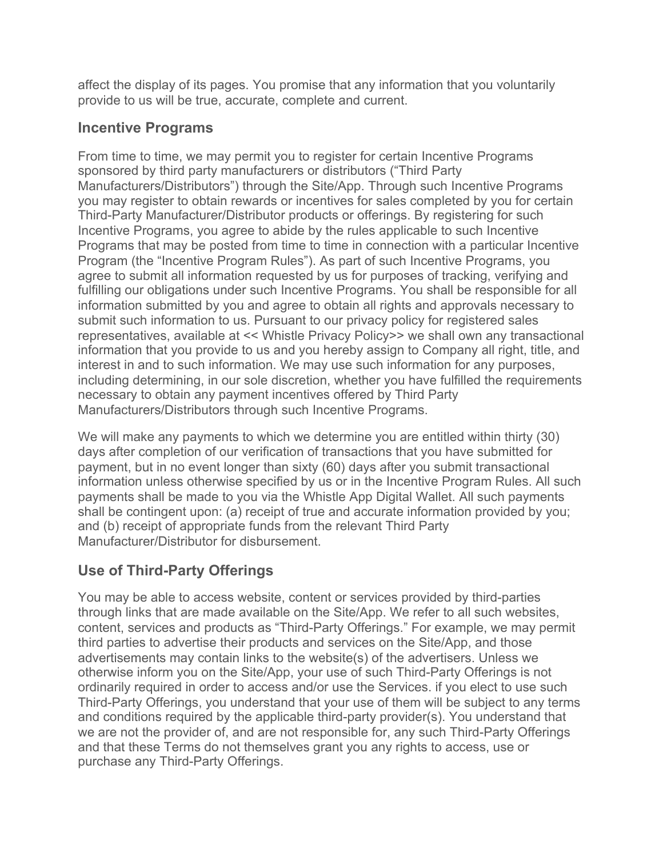affect the display of its pages. You promise that any information that you voluntarily provide to us will be true, accurate, complete and current.

#### **Incentive Programs**

From time to time, we may permit you to register for certain Incentive Programs sponsored by third party manufacturers or distributors ("Third Party Manufacturers/Distributors") through the Site/App. Through such Incentive Programs you may register to obtain rewards or incentives for sales completed by you for certain Third-Party Manufacturer/Distributor products or offerings. By registering for such Incentive Programs, you agree to abide by the rules applicable to such Incentive Programs that may be posted from time to time in connection with a particular Incentive Program (the "Incentive Program Rules"). As part of such Incentive Programs, you agree to submit all information requested by us for purposes of tracking, verifying and fulfilling our obligations under such Incentive Programs. You shall be responsible for all information submitted by you and agree to obtain all rights and approvals necessary to submit such information to us. Pursuant to our privacy policy for registered sales representatives, available at << Whistle Privacy Policy>> we shall own any transactional information that you provide to us and you hereby assign to Company all right, title, and interest in and to such information. We may use such information for any purposes, including determining, in our sole discretion, whether you have fulfilled the requirements necessary to obtain any payment incentives offered by Third Party Manufacturers/Distributors through such Incentive Programs.

We will make any payments to which we determine you are entitled within thirty (30) days after completion of our verification of transactions that you have submitted for payment, but in no event longer than sixty (60) days after you submit transactional information unless otherwise specified by us or in the Incentive Program Rules. All such payments shall be made to you via the Whistle App Digital Wallet. All such payments shall be contingent upon: (a) receipt of true and accurate information provided by you; and (b) receipt of appropriate funds from the relevant Third Party Manufacturer/Distributor for disbursement.

## **Use of Third-Party Offerings**

You may be able to access website, content or services provided by third-parties through links that are made available on the Site/App. We refer to all such websites, content, services and products as "Third-Party Offerings." For example, we may permit third parties to advertise their products and services on the Site/App, and those advertisements may contain links to the website(s) of the advertisers. Unless we otherwise inform you on the Site/App, your use of such Third-Party Offerings is not ordinarily required in order to access and/or use the Services. if you elect to use such Third-Party Offerings, you understand that your use of them will be subject to any terms and conditions required by the applicable third-party provider(s). You understand that we are not the provider of, and are not responsible for, any such Third-Party Offerings and that these Terms do not themselves grant you any rights to access, use or purchase any Third-Party Offerings.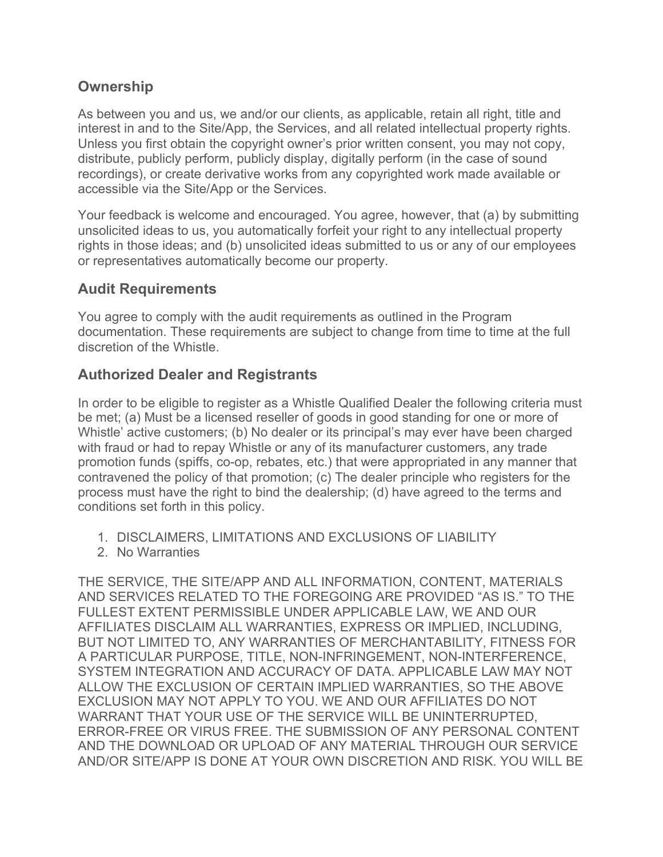#### **Ownership**

As between you and us, we and/or our clients, as applicable, retain all right, title and interest in and to the Site/App, the Services, and all related intellectual property rights. Unless you first obtain the copyright owner's prior written consent, you may not copy, distribute, publicly perform, publicly display, digitally perform (in the case of sound recordings), or create derivative works from any copyrighted work made available or accessible via the Site/App or the Services.

Your feedback is welcome and encouraged. You agree, however, that (a) by submitting unsolicited ideas to us, you automatically forfeit your right to any intellectual property rights in those ideas; and (b) unsolicited ideas submitted to us or any of our employees or representatives automatically become our property.

#### **Audit Requirements**

You agree to comply with the audit requirements as outlined in the Program documentation. These requirements are subject to change from time to time at the full discretion of the Whistle.

#### **Authorized Dealer and Registrants**

In order to be eligible to register as a Whistle Qualified Dealer the following criteria must be met; (a) Must be a licensed reseller of goods in good standing for one or more of Whistle' active customers; (b) No dealer or its principal's may ever have been charged with fraud or had to repay Whistle or any of its manufacturer customers, any trade promotion funds (spiffs, co-op, rebates, etc.) that were appropriated in any manner that contravened the policy of that promotion; (c) The dealer principle who registers for the process must have the right to bind the dealership; (d) have agreed to the terms and conditions set forth in this policy.

- 1. DISCLAIMERS, LIMITATIONS AND EXCLUSIONS OF LIABILITY
- 2. No Warranties

THE SERVICE, THE SITE/APP AND ALL INFORMATION, CONTENT, MATERIALS AND SERVICES RELATED TO THE FOREGOING ARE PROVIDED "AS IS." TO THE FULLEST EXTENT PERMISSIBLE UNDER APPLICABLE LAW, WE AND OUR AFFILIATES DISCLAIM ALL WARRANTIES, EXPRESS OR IMPLIED, INCLUDING, BUT NOT LIMITED TO, ANY WARRANTIES OF MERCHANTABILITY, FITNESS FOR A PARTICULAR PURPOSE, TITLE, NON-INFRINGEMENT, NON-INTERFERENCE, SYSTEM INTEGRATION AND ACCURACY OF DATA. APPLICABLE LAW MAY NOT ALLOW THE EXCLUSION OF CERTAIN IMPLIED WARRANTIES, SO THE ABOVE EXCLUSION MAY NOT APPLY TO YOU. WE AND OUR AFFILIATES DO NOT WARRANT THAT YOUR USE OF THE SERVICE WILL BE UNINTERRUPTED, ERROR-FREE OR VIRUS FREE. THE SUBMISSION OF ANY PERSONAL CONTENT AND THE DOWNLOAD OR UPLOAD OF ANY MATERIAL THROUGH OUR SERVICE AND/OR SITE/APP IS DONE AT YOUR OWN DISCRETION AND RISK. YOU WILL BE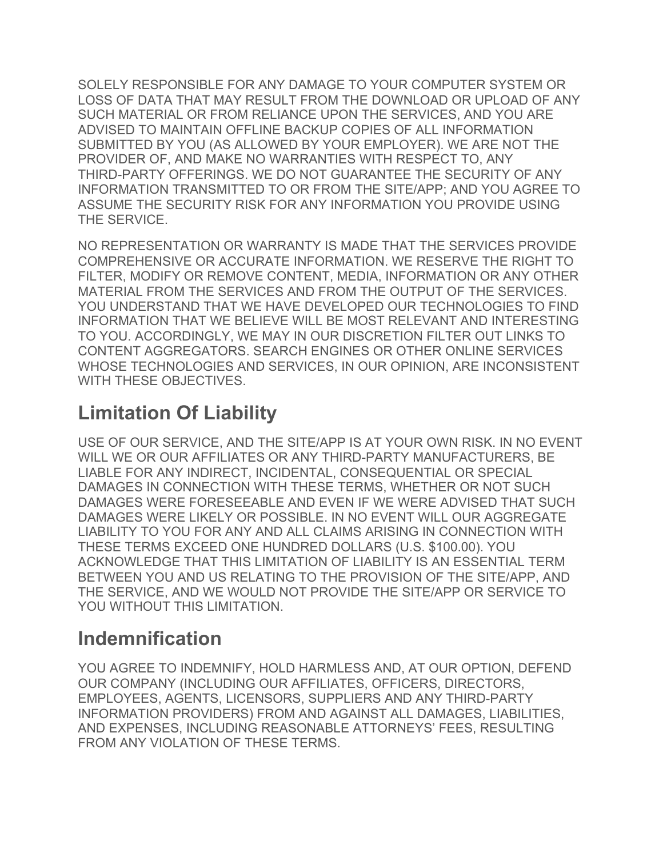SOLELY RESPONSIBLE FOR ANY DAMAGE TO YOUR COMPUTER SYSTEM OR LOSS OF DATA THAT MAY RESULT FROM THE DOWNLOAD OR UPLOAD OF ANY SUCH MATERIAL OR FROM RELIANCE UPON THE SERVICES, AND YOU ARE ADVISED TO MAINTAIN OFFLINE BACKUP COPIES OF ALL INFORMATION SUBMITTED BY YOU (AS ALLOWED BY YOUR EMPLOYER). WE ARE NOT THE PROVIDER OF, AND MAKE NO WARRANTIES WITH RESPECT TO, ANY THIRD-PARTY OFFERINGS. WE DO NOT GUARANTEE THE SECURITY OF ANY INFORMATION TRANSMITTED TO OR FROM THE SITE/APP; AND YOU AGREE TO ASSUME THE SECURITY RISK FOR ANY INFORMATION YOU PROVIDE USING THE SERVICE.

NO REPRESENTATION OR WARRANTY IS MADE THAT THE SERVICES PROVIDE COMPREHENSIVE OR ACCURATE INFORMATION. WE RESERVE THE RIGHT TO FILTER, MODIFY OR REMOVE CONTENT, MEDIA, INFORMATION OR ANY OTHER MATERIAL FROM THE SERVICES AND FROM THE OUTPUT OF THE SERVICES. YOU UNDERSTAND THAT WE HAVE DEVELOPED OUR TECHNOLOGIES TO FIND INFORMATION THAT WE BELIEVE WILL BE MOST RELEVANT AND INTERESTING TO YOU. ACCORDINGLY, WE MAY IN OUR DISCRETION FILTER OUT LINKS TO CONTENT AGGREGATORS. SEARCH ENGINES OR OTHER ONLINE SERVICES WHOSE TECHNOLOGIES AND SERVICES, IN OUR OPINION, ARE INCONSISTENT WITH THESE OBJECTIVES.

## **Limitation Of Liability**

USE OF OUR SERVICE, AND THE SITE/APP IS AT YOUR OWN RISK. IN NO EVENT WILL WE OR OUR AFFILIATES OR ANY THIRD-PARTY MANUFACTURERS, BE LIABLE FOR ANY INDIRECT, INCIDENTAL, CONSEQUENTIAL OR SPECIAL DAMAGES IN CONNECTION WITH THESE TERMS, WHETHER OR NOT SUCH DAMAGES WERE FORESEEABLE AND EVEN IF WE WERE ADVISED THAT SUCH DAMAGES WERE LIKELY OR POSSIBLE. IN NO EVENT WILL OUR AGGREGATE LIABILITY TO YOU FOR ANY AND ALL CLAIMS ARISING IN CONNECTION WITH THESE TERMS EXCEED ONE HUNDRED DOLLARS (U.S. \$100.00). YOU ACKNOWLEDGE THAT THIS LIMITATION OF LIABILITY IS AN ESSENTIAL TERM BETWEEN YOU AND US RELATING TO THE PROVISION OF THE SITE/APP, AND THE SERVICE, AND WE WOULD NOT PROVIDE THE SITE/APP OR SERVICE TO YOU WITHOUT THIS LIMITATION.

## **Indemnification**

YOU AGREE TO INDEMNIFY, HOLD HARMLESS AND, AT OUR OPTION, DEFEND OUR COMPANY (INCLUDING OUR AFFILIATES, OFFICERS, DIRECTORS, EMPLOYEES, AGENTS, LICENSORS, SUPPLIERS AND ANY THIRD-PARTY INFORMATION PROVIDERS) FROM AND AGAINST ALL DAMAGES, LIABILITIES, AND EXPENSES, INCLUDING REASONABLE ATTORNEYS' FEES, RESULTING FROM ANY VIOLATION OF THESE TERMS.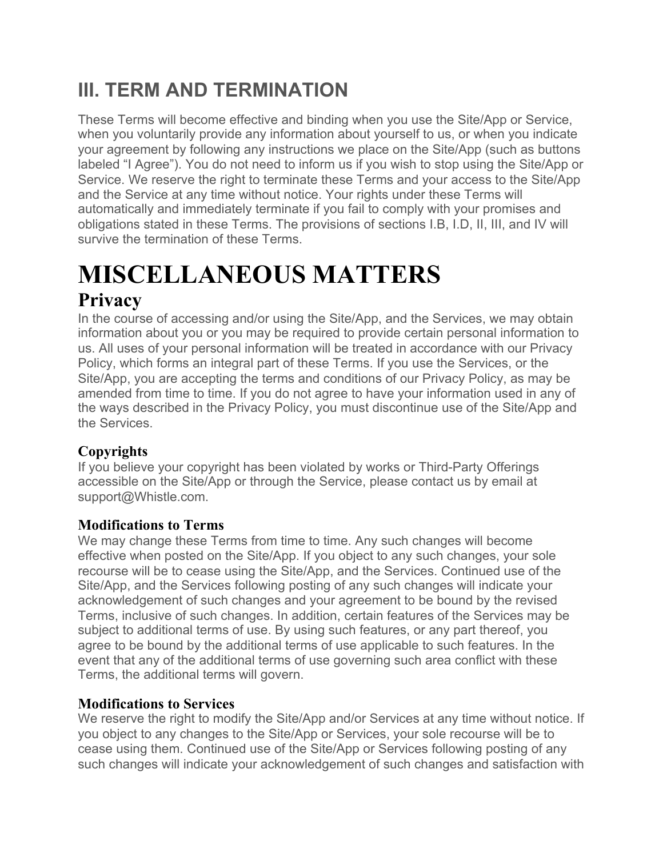## **III. TERM AND TERMINATION**

These Terms will become effective and binding when you use the Site/App or Service, when you voluntarily provide any information about yourself to us, or when you indicate your agreement by following any instructions we place on the Site/App (such as buttons labeled "I Agree"). You do not need to inform us if you wish to stop using the Site/App or Service. We reserve the right to terminate these Terms and your access to the Site/App and the Service at any time without notice. Your rights under these Terms will automatically and immediately terminate if you fail to comply with your promises and obligations stated in these Terms. The provisions of sections I.B, I.D, II, III, and IV will survive the termination of these Terms.

# **MISCELLANEOUS MATTERS**

## **Privacy**

In the course of accessing and/or using the Site/App, and the Services, we may obtain information about you or you may be required to provide certain personal information to us. All uses of your personal information will be treated in accordance with our Privacy Policy, which forms an integral part of these Terms. If you use the Services, or the Site/App, you are accepting the terms and conditions of our Privacy Policy, as may be amended from time to time. If you do not agree to have your information used in any of the ways described in the Privacy Policy, you must discontinue use of the Site/App and the Services.

### **Copyrights**

If you believe your copyright has been violated by works or Third-Party Offerings accessible on the Site/App or through the Service, please contact us by email at support@Whistle.com.

### **Modifications to Terms**

We may change these Terms from time to time. Any such changes will become effective when posted on the Site/App. If you object to any such changes, your sole recourse will be to cease using the Site/App, and the Services. Continued use of the Site/App, and the Services following posting of any such changes will indicate your acknowledgement of such changes and your agreement to be bound by the revised Terms, inclusive of such changes. In addition, certain features of the Services may be subject to additional terms of use. By using such features, or any part thereof, you agree to be bound by the additional terms of use applicable to such features. In the event that any of the additional terms of use governing such area conflict with these Terms, the additional terms will govern.

#### **Modifications to Services**

We reserve the right to modify the Site/App and/or Services at any time without notice. If you object to any changes to the Site/App or Services, your sole recourse will be to cease using them. Continued use of the Site/App or Services following posting of any such changes will indicate your acknowledgement of such changes and satisfaction with